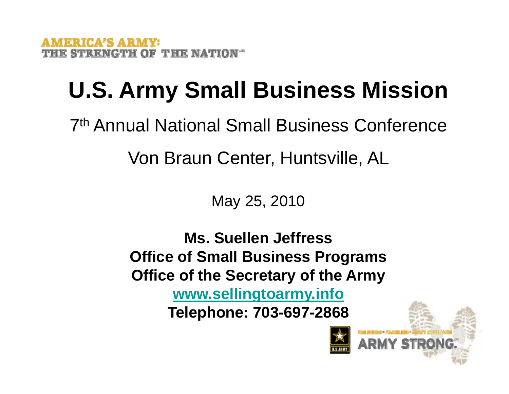# **U.S. Army Small Business Mission**

7<sup>th</sup> Annual National Small Business Conference Von Braun Center, Huntsville, AL

May 25, 2010

**Ms. Suellen JeffressOffice of Small Business Programs Offi f th S t f th A Office o the Secre tary o the Army www.sellingtoarmy.info Telephone: 703-697-2868**

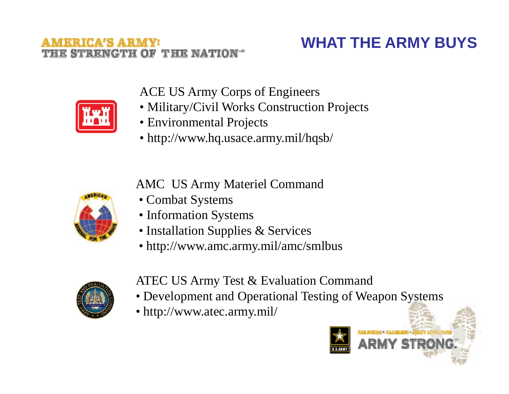### **THE NATI**

#### **WHAT THE ARMY BUYS**



ACE US Army Corps of Engineers

- Military/Civil Works Construction Projects
- Environmental Projects
- http://www.hq.usace.army.mil/hqsb/

AMC US Army Materiel Command



- Combat Systems
- Information Systems
- Installation Supplies & Services
- http://www.amc.army.mil/amc/smlbus



ATEC US Army Test & Evaluation Command

- Development and Operational Testing of Weapon Systems
- http://www.atec.army.mil/

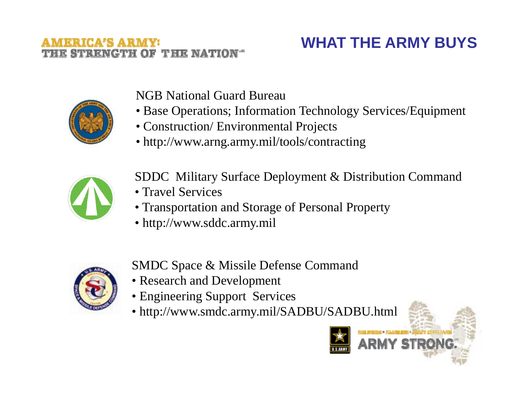### **THE NATIO**

### **WHAT THE ARMY BUYS**



NGB National Guard Bureau

- Base Operations; Information Technology Services/Equipment
- Construction/ Environmental Projects
- http://www.arng.army.mil/tools/contracting



SDDC Military Surface Deployment & Distribution Command

- Travel Services
- Transportation and Storage of Personal Property
- http://www.sddc.army.mil



SMDC S pace & Missile Defense Comman d http://www.sddc.army.milp

- Research and Development
- Engineering Support Services
- http://www.smdc.army.mil/SADBU/SADBU.html